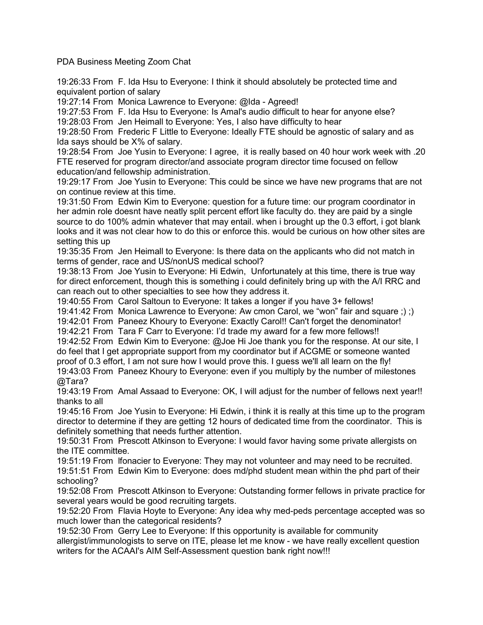PDA Business Meeting Zoom Chat

19:26:33 From F. Ida Hsu to Everyone: I think it should absolutely be protected time and equivalent portion of salary

19:27:14 From Monica Lawrence to Everyone: @Ida - Agreed!

19:27:53 From F. Ida Hsu to Everyone: Is Amal's audio difficult to hear for anyone else? 19:28:03 From Jen Heimall to Everyone: Yes, I also have difficulty to hear

19:28:50 From Frederic F Little to Everyone: Ideally FTE should be agnostic of salary and as Ida says should be X% of salary.

19:28:54 From Joe Yusin to Everyone: I agree, it is really based on 40 hour work week with .20 FTE reserved for program director/and associate program director time focused on fellow education/and fellowship administration.

19:29:17 From Joe Yusin to Everyone: This could be since we have new programs that are not on continue review at this time.

19:31:50 From Edwin Kim to Everyone: question for a future time: our program coordinator in her admin role doesnt have neatly split percent effort like faculty do. they are paid by a single source to do 100% admin whatever that may entail. when i brought up the 0.3 effort, i got blank looks and it was not clear how to do this or enforce this. would be curious on how other sites are setting this up

19:35:35 From Jen Heimall to Everyone: Is there data on the applicants who did not match in terms of gender, race and US/nonUS medical school?

19:38:13 From Joe Yusin to Everyone: Hi Edwin, Unfortunately at this time, there is true way for direct enforcement, though this is something i could definitely bring up with the A/I RRC and can reach out to other specialties to see how they address it.

19:40:55 From Carol Saltoun to Everyone: It takes a longer if you have 3+ fellows!

19:41:42 From Monica Lawrence to Everyone: Aw cmon Carol, we "won" fair and square ;) ;)

19:42:01 From Paneez Khoury to Everyone: Exactly Carol!! Can't forget the denominator!

19:42:21 From Tara F Carr to Everyone: I'd trade my award for a few more fellows!!

19:42:52 From Edwin Kim to Everyone: @Joe Hi Joe thank you for the response. At our site, I do feel that I get appropriate support from my coordinator but if ACGME or someone wanted proof of 0.3 effort, I am not sure how I would prove this. I guess we'll all learn on the fly!

19:43:03 From Paneez Khoury to Everyone: even if you multiply by the number of milestones @Tara?

19:43:19 From Amal Assaad to Everyone: OK, I will adjust for the number of fellows next year!! thanks to all

19:45:16 From Joe Yusin to Everyone: Hi Edwin, i think it is really at this time up to the program director to determine if they are getting 12 hours of dedicated time from the coordinator. This is definitely something that needs further attention.

19:50:31 From Prescott Atkinson to Everyone: I would favor having some private allergists on the ITE committee.

19:51:19 From lfonacier to Everyone: They may not volunteer and may need to be recruited. 19:51:51 From Edwin Kim to Everyone: does md/phd student mean within the phd part of their schooling?

19:52:08 From Prescott Atkinson to Everyone: Outstanding former fellows in private practice for several years would be good recruiting targets.

19:52:20 From Flavia Hoyte to Everyone: Any idea why med-peds percentage accepted was so much lower than the categorical residents?

19:52:30 From Gerry Lee to Everyone: If this opportunity is available for community allergist/immunologists to serve on ITE, please let me know - we have really excellent question writers for the ACAAI's AIM Self-Assessment question bank right now!!!